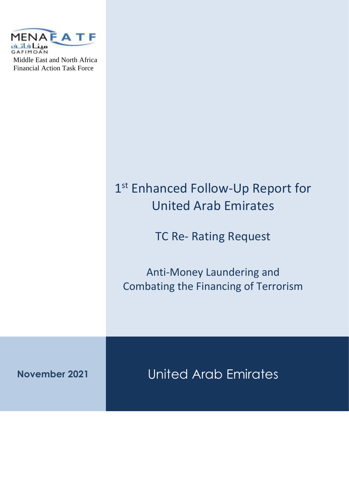

# 1st Enhanced Follow-Up Report for United Arab Emirates TC Re- Rating Request Anti-Money Laundering and Combating the Financing of Terrorism **November 2021** United Arab Emirates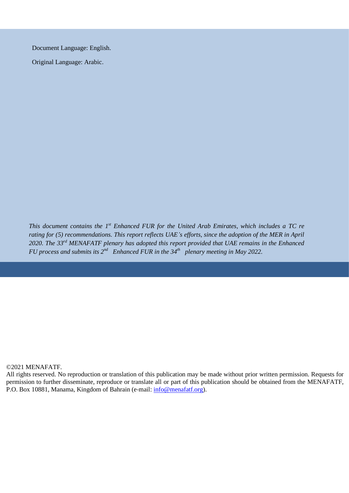Document Language: English.

Original Language: Arabic.

*This document contains the 1<sup>st</sup> Enhanced FUR for the United Arab Emirates, which includes a TC re rating for (5) recommendations. This report reflects UAE's efforts, since the adoption of the MER in April 2020. The 33 rd MENAFATF plenary has adopted this report provided that UAE remains in the Enhanced FU* process and submits its  $2^{nd}$  Enhanced FUR in the 34<sup>th</sup> plenary meeting in May 2022.

#### ©2021 MENAFATF.

All rights reserved. No reproduction or translation of this publication may be made without prior written permission. Requests for permission to further disseminate, reproduce or translate all or part of this publication should be obtained from the MENAFATF, P.O. Box 10881, Manama, Kingdom of Bahrain (e-mail: [info@menafatf.org\)](mailto:info@menafatf.org).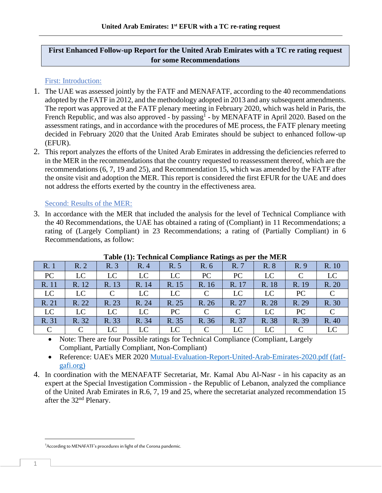# **First Enhanced Follow-up Report for the United Arab Emirates with a TC re rating request for some Recommendations**

### First: Introduction:

- 1. The UAE was assessed jointly by the FATF and MENAFATF, according to the 40 recommendations adopted by the FATF in 2012, and the methodology adopted in 2013 and any subsequent amendments. The report was approved at the FATF plenary meeting in February 2020, which was held in Paris, the French Republic, and was also approved - by passing<sup>1</sup> - by MENAFATF in April 2020. Based on the assessment ratings, and in accordance with the procedures of ME process, the FATF plenary meeting decided in February 2020 that the United Arab Emirates should be subject to enhanced follow-up (EFUR).
- 2. This report analyzes the efforts of the United Arab Emirates in addressing the deficiencies referred to in the MER in the recommendations that the country requested to reassessment thereof, which are the recommendations (6, 7, 19 and 25), and Recommendation 15, which was amended by the FATF after the onsite visit and adoption the MER. This report is considered the first EFUR for the UAE and does not address the efforts exerted by the country in the effectiveness area.

#### Second: Results of the MER:

3. In accordance with the MER that included the analysis for the level of Technical Compliance with the 40 Recommendations, the UAE has obtained a rating of (Compliant) in 11 Recommendations; a rating of (Largely Compliant) in 23 Recommendations; a rating of (Partially Compliant) in 6 Recommendations, as follow:

|               |          |               |       |       |          | $\circ$     |       |               |       |
|---------------|----------|---------------|-------|-------|----------|-------------|-------|---------------|-------|
| R. 1          | R.2      | R. 3          | R. 4  | R. 5  | R. 6     | R. 7        | R. 8  | R. 9          | R. 10 |
| <b>PC</b>     | LC       | LC            | LC    | LC    | PC       | PC          | LC    |               | LC    |
| R. 11         | R. 12    | R. 13         | R. 14 | R. 15 | R. 16    | R. 17       | R. 18 | R. 19         | R. 20 |
| LC            | LC       | $\mathcal{C}$ | LC    | LC    | C        | LC          | LC    | PC            |       |
| R. 21         | R. 22    | R. 23         | R. 24 | R. 25 | R. 26    | R. 27       | R. 28 | R. 29         | R. 30 |
| LC            | LC       | LC            | LC    | PC    | $\Gamma$ | $\mathbf C$ | LC    | PC            |       |
| R. 31         | R. 32    | R. 33         | R. 34 | R. 35 | R. 36    | R. 37       | R. 38 | R. 39         | R. 40 |
| $\mathcal{C}$ | $\Gamma$ | LC            | LC    | LC    | $\Gamma$ | LC          | LC    | $\mathcal{C}$ |       |

**Table (1): Technical Compliance Ratings as per the MER**

• Note: There are four Possible ratings for Technical Compliance (Compliant, Largely Compliant, Partially Compliant, Non-Compliant)

• Reference: UAE's MER 2020 [Mutual-Evaluation-Report-United-Arab-Emirates-2020.pdf \(fatf](http://www.fatf-gafi.org/media/fatf/documents/reports/mer4/Mutual-Evaluation-Report-United-Arab-Emirates-2020.pdf)[gafi.org\)](http://www.fatf-gafi.org/media/fatf/documents/reports/mer4/Mutual-Evaluation-Report-United-Arab-Emirates-2020.pdf)

4. In coordination with the MENAFATF Secretariat, Mr. Kamal Abu Al-Nasr - in his capacity as an expert at the Special Investigation Commission - the Republic of Lebanon, analyzed the compliance of the United Arab Emirates in R.6, 7, 19 and 25, where the secretariat analyzed recommendation 15 after the 32nd Plenary.

<sup>&</sup>lt;sup>1</sup> According to MENAFATF's procedures in light of the Corona pandemic.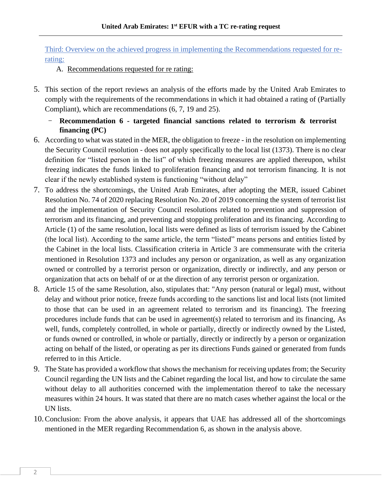Third: Overview on the achieved progress in implementing the Recommendations requested for rerating:

A. Recommendations requested for re rating:

- 5. This section of the report reviews an analysis of the efforts made by the United Arab Emirates to comply with the requirements of the recommendations in which it had obtained a rating of (Partially Compliant), which are recommendations (6, 7, 19 and 25).
	- **Recommendation 6 - targeted financial sanctions related to terrorism & terrorist financing (PC)**
- 6. According to what was stated in the MER, the obligation to freeze in the resolution on implementing the Security Council resolution - does not apply specifically to the local list (1373). There is no clear definition for "listed person in the list" of which freezing measures are applied thereupon, whilst freezing indicates the funds linked to proliferation financing and not terrorism financing. It is not clear if the newly established system is functioning "without delay"
- 7. To address the shortcomings, the United Arab Emirates, after adopting the MER, issued Cabinet Resolution No. 74 of 2020 replacing Resolution No. 20 of 2019 concerning the system of terrorist list and the implementation of Security Council resolutions related to prevention and suppression of terrorism and its financing, and preventing and stopping proliferation and its financing. According to Article (1) of the same resolution, local lists were defined as lists of terrorism issued by the Cabinet (the local list). According to the same article, the term "listed" means persons and entities listed by the Cabinet in the local lists. Classification criteria in Article 3 are commensurate with the criteria mentioned in Resolution 1373 and includes any person or organization, as well as any organization owned or controlled by a terrorist person or organization, directly or indirectly, and any person or organization that acts on behalf of or at the direction of any terrorist person or organization.
- 8. Article 15 of the same Resolution, also, stipulates that: "Any person (natural or legal) must, without delay and without prior notice, freeze funds according to the sanctions list and local lists (not limited to those that can be used in an agreement related to terrorism and its financing). The freezing procedures include funds that can be used in agreement(s) related to terrorism and its financing, As well, funds, completely controlled, in whole or partially, directly or indirectly owned by the Listed, or funds owned or controlled, in whole or partially, directly or indirectly by a person or organization acting on behalf of the listed, or operating as per its directions Funds gained or generated from funds referred to in this Article.
- 9. The State has provided a workflow that shows the mechanism for receiving updates from; the Security Council regarding the UN lists and the Cabinet regarding the local list, and how to circulate the same without delay to all authorities concerned with the implementation thereof to take the necessary measures within 24 hours. It was stated that there are no match cases whether against the local or the UN lists.
- 10.Conclusion: From the above analysis, it appears that UAE has addressed all of the shortcomings mentioned in the MER regarding Recommendation 6, as shown in the analysis above.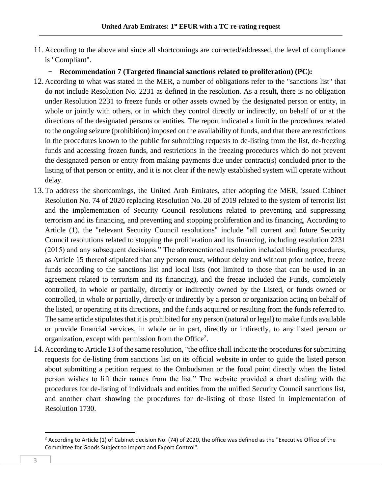- 11. According to the above and since all shortcomings are corrected/addressed, the level of compliance is "Compliant".
	- **Recommendation 7 (Targeted financial sanctions related to proliferation) (PC):**
- 12. According to what was stated in the MER, a number of obligations refer to the "sanctions list" that do not include Resolution No. 2231 as defined in the resolution. As a result, there is no obligation under Resolution 2231 to freeze funds or other assets owned by the designated person or entity, in whole or jointly with others, or in which they control directly or indirectly, on behalf of or at the directions of the designated persons or entities. The report indicated a limit in the procedures related to the ongoing seizure (prohibition) imposed on the availability of funds, and that there are restrictions in the procedures known to the public for submitting requests to de-listing from the list, de-freezing funds and accessing frozen funds, and restrictions in the freezing procedures which do not prevent the designated person or entity from making payments due under contract(s) concluded prior to the listing of that person or entity, and it is not clear if the newly established system will operate without delay.
- 13.To address the shortcomings, the United Arab Emirates, after adopting the MER, issued Cabinet Resolution No. 74 of 2020 replacing Resolution No. 20 of 2019 related to the system of terrorist list and the implementation of Security Council resolutions related to preventing and suppressing terrorism and its financing, and preventing and stopping proliferation and its financing, According to Article (1), the "relevant Security Council resolutions" include "all current and future Security Council resolutions related to stopping the proliferation and its financing, including resolution 2231 (2015) and any subsequent decisions." The aforementioned resolution included binding procedures, as Article 15 thereof stipulated that any person must, without delay and without prior notice, freeze funds according to the sanctions list and local lists (not limited to those that can be used in an agreement related to terrorism and its financing), and the freeze included the Funds, completely controlled, in whole or partially, directly or indirectly owned by the Listed, or funds owned or controlled, in whole or partially, directly or indirectly by a person or organization acting on behalf of the listed, or operating at its directions, and the funds acquired or resulting from the funds referred to. The same article stipulates that it is prohibited for any person (natural or legal) to make funds available or provide financial services, in whole or in part, directly or indirectly, to any listed person or organization, except with permission from the Office<sup>2</sup>.
- 14. According to Article 13 of the same resolution, "the office shall indicate the procedures for submitting requests for de-listing from sanctions list on its official website in order to guide the listed person about submitting a petition request to the Ombudsman or the focal point directly when the listed person wishes to lift their names from the list." The website provided a chart dealing with the procedures for de-listing of individuals and entities from the unified Security Council sanctions list, and another chart showing the procedures for de-listing of those listed in implementation of Resolution 1730.

<sup>&</sup>lt;sup>2</sup> According to Article (1) of Cabinet decision No. (74) of 2020, the office was defined as the "Executive Office of the Committee for Goods Subject to Import and Export Control".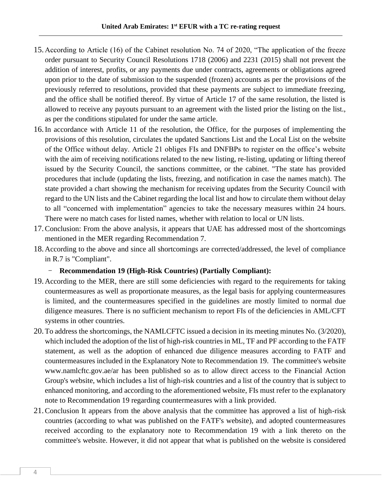- 15. According to Article (16) of the Cabinet resolution No. 74 of 2020, "The application of the freeze order pursuant to Security Council Resolutions 1718 (2006) and 2231 (2015) shall not prevent the addition of interest, profits, or any payments due under contracts, agreements or obligations agreed upon prior to the date of submission to the suspended (frozen) accounts as per the provisions of the previously referred to resolutions, provided that these payments are subject to immediate freezing, and the office shall be notified thereof. By virtue of Article 17 of the same resolution, the listed is allowed to receive any payouts pursuant to an agreement with the listed prior the listing on the list., as per the conditions stipulated for under the same article.
- 16.In accordance with Article 11 of the resolution, the Office, for the purposes of implementing the provisions of this resolution, circulates the updated Sanctions List and the Local List on the website of the Office without delay. Article 21 obliges FIs and DNFBPs to register on the office's website with the aim of receiving notifications related to the new listing, re-listing, updating or lifting thereof issued by the Security Council, the sanctions committee, or the cabinet. "The state has provided procedures that include (updating the lists, freezing, and notification in case the names match). The state provided a chart showing the mechanism for receiving updates from the Security Council with regard to the UN lists and the Cabinet regarding the local list and how to circulate them without delay to all "concerned with implementation" agencies to take the necessary measures within 24 hours. There were no match cases for listed names, whether with relation to local or UN lists.
- 17.Conclusion: From the above analysis, it appears that UAE has addressed most of the shortcomings mentioned in the MER regarding Recommendation 7.
- 18. According to the above and since all shortcomings are corrected/addressed, the level of compliance in R.7 is "Compliant".

- **Recommendation 19 (High-Risk Countries) (Partially Compliant):**

- 19. According to the MER, there are still some deficiencies with regard to the requirements for taking countermeasures as well as proportionate measures, as the legal basis for applying countermeasures is limited, and the countermeasures specified in the guidelines are mostly limited to normal due diligence measures. There is no sufficient mechanism to report FIs of the deficiencies in AML/CFT systems in other countries.
- 20.To address the shortcomings, the NAMLCFTC issued a decision in its meeting minutes No. (3/2020), which included the adoption of the list of high-risk countries in ML, TF and PF according to the FATF statement, as well as the adoption of enhanced due diligence measures according to FATF and countermeasures included in the Explanatory Note to Recommendation 19. The committee's website www.namlcftc.gov.ae/ar has been published so as to allow direct access to the Financial Action Group's website, which includes a list of high-risk countries and a list of the country that is subject to enhanced monitoring, and according to the aforementioned website, FIs must refer to the explanatory note to Recommendation 19 regarding countermeasures with a link provided.
- 21.Conclusion It appears from the above analysis that the committee has approved a list of high-risk countries (according to what was published on the FATF's website), and adopted countermeasures received according to the explanatory note to Recommendation 19 with a link thereto on the committee's website. However, it did not appear that what is published on the website is considered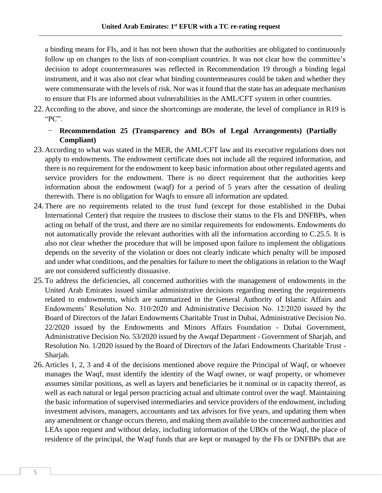a binding means for FIs, and it has not been shown that the authorities are obligated to continuously follow up on changes to the lists of non-compliant countries. It was not clear how the committee's decision to adopt countermeasures was reflected in Recommendation 19 through a binding legal instrument, and it was also not clear what binding countermeasures could be taken and whether they were commensurate with the levels of risk. Nor was it found that the state has an adequate mechanism to ensure that FIs are informed about vulnerabilities in the AML/CFT system in other countries.

22. According to the above, and since the shortcomings are moderate, the level of compliance in R19 is "PC".

# - **Recommendation 25 (Transparency and BOs of Legal Arrangements) (Partially Compliant)**

- 23. According to what was stated in the MER, the AML/CFT law and its executive regulations does not apply to endowments. The endowment certificate does not include all the required information, and there is no requirement for the endowment to keep basic information about other regulated agents and service providers for the endowment. There is no direct requirement that the authorities keep information about the endowment (waqf) for a period of 5 years after the cessation of dealing therewith. There is no obligation for Waqfs to ensure all information are updated.
- 24.There are no requirements related to the trust fund (except for those established in the Dubai International Center) that require the trustees to disclose their status to the FIs and DNFBPs, when acting on behalf of the trust, and there are no similar requirements for endowments. Endowments do not automatically provide the relevant authorities with all the information according to C.25.5. It is also not clear whether the procedure that will be imposed upon failure to implement the obligations depends on the severity of the violation or does not clearly indicate which penalty will be imposed and under what conditions, and the penalties for failure to meet the obligations in relation to the Waqf are not considered sufficiently dissuasive.
- 25.To address the deficiencies, all concerned authorities with the management of endowments in the United Arab Emirates issued similar administrative decisions regarding meeting the requirements related to endowments, which are summarized in the General Authority of Islamic Affairs and Endowments' Resolution No. 310/2020 and Administrative Decision No. 12/2020 issued by the Board of Directors of the Jafari Endowments Charitable Trust in Dubai, Administrative Decision No. 22/2020 issued by the Endowments and Minors Affairs Foundation - Dubai Government, Administrative Decision No. 53/2020 issued by the Awqaf Department - Government of Sharjah, and Resolution No. 1/2020 issued by the Board of Directors of the Jafari Endowments Charitable Trust - Sharjah.
- 26. Articles 1, 2, 3 and 4 of the decisions mentioned above require the Principal of Waqf, or whoever manages the Waqf, must identify the identity of the Waqf owner, or waqf property, or whomever assumes similar positions, as well as layers and beneficiaries be it nominal or in capacity thereof, as well as each natural or legal person practicing actual and ultimate control over the waqf. Maintaining the basic information of supervised intermediaries and service providers of the endowment, including investment advisors, managers, accountants and tax advisors for five years, and updating them when any amendment or change occurs thereto, and making them available to the concerned authorities and LEAs upon request and without delay, including information of the UBOs of the Waqf, the place of residence of the principal, the Waqf funds that are kept or managed by the FIs or DNFBPs that are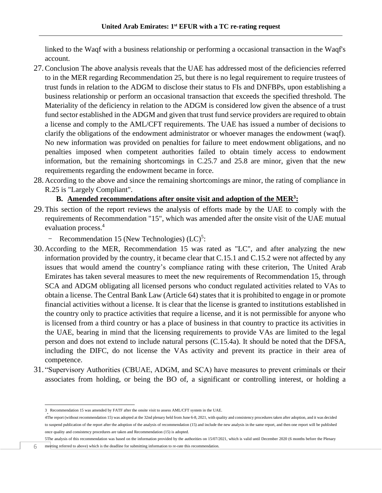linked to the Waqf with a business relationship or performing a occasional transaction in the Waqf's account.

- 27.Conclusion The above analysis reveals that the UAE has addressed most of the deficiencies referred to in the MER regarding Recommendation 25, but there is no legal requirement to require trustees of trust funds in relation to the ADGM to disclose their status to FIs and DNFBPs, upon establishing a business relationship or perform an occasional transaction that exceeds the specified threshold. The Materiality of the deficiency in relation to the ADGM is considered low given the absence of a trust fund sector established in the ADGM and given that trust fund service providers are required to obtain a license and comply to the AML/CFT requirements. The UAE has issued a number of decisions to clarify the obligations of the endowment administrator or whoever manages the endowment (waqf). No new information was provided on penalties for failure to meet endowment obligations, and no penalties imposed when competent authorities failed to obtain timely access to endowment information, but the remaining shortcomings in C.25.7 and 25.8 are minor, given that the new requirements regarding the endowment became in force.
- 28. According to the above and since the remaining shortcomings are minor, the rating of compliance in R.25 is "Largely Compliant".

## **B. Amended recommendations after onsite visit and adoption of the MER<sup>3</sup> :**

- 29.This section of the report reviews the analysis of efforts made by the UAE to comply with the requirements of Recommendation "15", which was amended after the onsite visit of the UAE mutual evaluation process.<sup>4</sup>
	- Recommendation 15 (New Technologies)  $(LC)^5$ :
- 30. According to the MER, Recommendation 15 was rated as "LC", and after analyzing the new information provided by the country, it became clear that C.15.1 and C.15.2 were not affected by any issues that would amend the country's compliance rating with these criterion, The United Arab Emirates has taken several measures to meet the new requirements of Recommendation 15, through SCA and ADGM obligating all licensed persons who conduct regulated activities related to VAs to obtain a license. The Central Bank Law (Article 64) states that it is prohibited to engage in or promote financial activities without a license. It is clear that the license is granted to institutions established in the country only to practice activities that require a license, and it is not permissible for anyone who is licensed from a third country or has a place of business in that country to practice its activities in the UAE, bearing in mind that the licensing requirements to provide VAs are limited to the legal person and does not extend to include natural persons (C.15.4a). It should be noted that the DFSA, including the DIFC, do not license the VAs activity and prevent its practice in their area of competence.
- 31. "Supervisory Authorities (CBUAE, ADGM, and SCA) have measures to prevent criminals or their associates from holding, or being the BO of, a significant or controlling interest, or holding a

5The analysis of this recommendation was based on the information provided by the authorities on 15/07/2021, which is valid until December 2020 (6 months before the Plenary

6 meeting referred to above) which is the deadline for submitting information to re-rate this recommendation.

<sup>3</sup> . Recommendation 15 was amended by FATF after the onsite visit to assess AML/CFT system in the UAE.

<sup>4</sup>The report (without recommendation 15) was adopted at the 32nd plenary held from June 6-8, 2021, with quality and consistency procedures taken after adoption, and it was decided to suspend publication of the report after the adoption of the analysis of recommendation (15) and include the new analysis in the same report, and then one report will be published once quality and consistency procedures are taken and Recommendation (15) is adopted.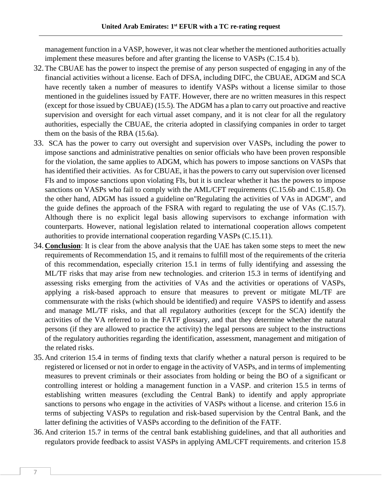management function in a VASP, however, it was not clear whether the mentioned authorities actually implement these measures before and after granting the license to VASPs (C.15.4 b).

- 32.The CBUAE has the power to inspect the premise of any person suspected of engaging in any of the financial activities without a license. Each of DFSA, including DIFC, the CBUAE, ADGM and SCA have recently taken a number of measures to identify VASPs without a license similar to those mentioned in the guidelines issued by FATF. However, there are no written measures in this respect (except for those issued by CBUAE) (15.5). The ADGM has a plan to carry out proactive and reactive supervision and oversight for each virtual asset company, and it is not clear for all the regulatory authorities, especially the CBUAE, the criteria adopted in classifying companies in order to target them on the basis of the RBA (15.6a).
- 33. SCA has the power to carry out oversight and supervision over VASPs, including the power to impose sanctions and administrative penalties on senior officials who have been proven responsible for the violation, the same applies to ADGM, which has powers to impose sanctions on VASPs that has identified their activities. As for CBUAE, it has the powers to carry out supervision over licensed FIs and to impose sanctions upon violating FIs, but it is unclear whether it has the powers to impose sanctions on VASPs who fail to comply with the AML/CFT requirements (C.15.6b and C.15.8). On the other hand, ADGM has issued a guideline o[n"Regulating the activities of VAs in ADGM",](https://www.adgm.com/documents/legal-framework/guidance-and-policy/fsra/guidance-on-regulation-of-virtual-asset-activities-in-adgm.pdf) and the guide defines the approach of the FSRA with regard to regulating the use of VAs (C.15.7). Although there is no explicit legal basis allowing supervisors to exchange information with counterparts. However, national legislation related to international cooperation allows competent authorities to provide international cooperation regarding VASPs (C.15.11).
- 34. **Conclusion**: It is clear from the above analysis that the UAE has taken some steps to meet the new requirements of Recommendation 15, and it remains to fulfill most of the requirements of the criteria of this recommendation, especially criterion 15.1 in terms of fully identifying and assessing the ML/TF risks that may arise from new technologies. and criterion 15.3 in terms of identifying and assessing risks emerging from the activities of VAs and the activities or operations of VASPs, applying a risk-based approach to ensure that measures to prevent or mitigate ML/TF are commensurate with the risks (which should be identified) and require VASPS to identify and assess and manage ML/TF risks, and that all regulatory authorities (except for the SCA) identify the activities of the VA referred to in the FATF glossary, and that they determine whether the natural persons (if they are allowed to practice the activity) the legal persons are subject to the instructions of the regulatory authorities regarding the identification, assessment, management and mitigation of the related risks.
- 35. And criterion 15.4 in terms of finding texts that clarify whether a natural person is required to be registered or licensed or not in order to engage in the activity of VASPs, and in terms of implementing measures to prevent criminals or their associates from holding or being the BO of a significant or controlling interest or holding a management function in a VASP. and criterion 15.5 in terms of establishing written measures (excluding the Central Bank) to identify and apply appropriate sanctions to persons who engage in the activities of VASPs without a license. and criterion 15.6 in terms of subjecting VASPs to regulation and risk-based supervision by the Central Bank, and the latter defining the activities of VASPs according to the definition of the FATF.
- 36. And criterion 15.7 in terms of the central bank establishing guidelines, and that all authorities and regulators provide feedback to assist VASPs in applying AML/CFT requirements. and criterion 15.8